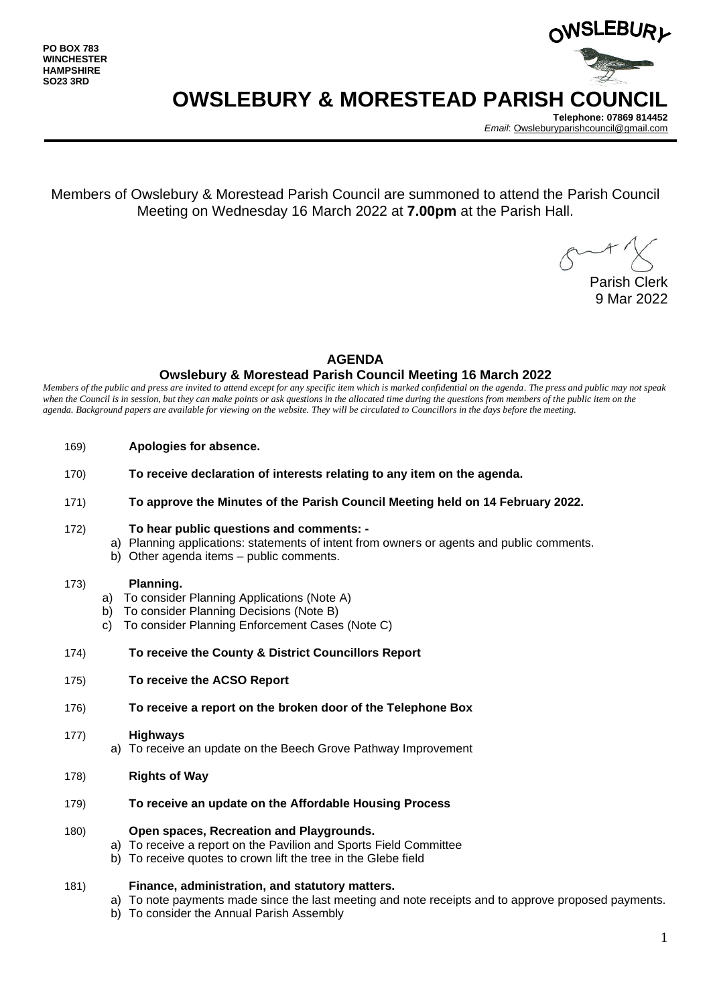

# **OWSLEBURY & MORESTEAD PARISH COUNCIL**

**Telephone: 07869 814452** *Email*[: Owsleburyparishcouncil@gmail.com](mailto:Owsleburyparishcouncil@gmail.com)

Members of Owslebury & Morestead Parish Council are summoned to attend the Parish Council Meeting on Wednesday 16 March 2022 at **7.00pm** at the Parish Hall.

Parish Clerk 9 Mar 2022

## **AGENDA**

## **Owslebury & Morestead Parish Council Meeting 16 March 2022**

*Members of the public and press are invited to attend except for any specific item which is marked confidential on the agenda. The press and public may not speak*  when the Council is in session, but they can make points or ask questions in the allocated time during the questions from members of the public item on the *agenda. Background papers are available for viewing on the website. They will be circulated to Councillors in the days before the meeting.* 

- 169) **Apologies for absence.**
- 170) **To receive declaration of interests relating to any item on the agenda.**
- 171) **To approve the Minutes of the Parish Council Meeting held on 14 February 2022.**
- 172) **To hear public questions and comments:** 
	- a) Planning applications: statements of intent from owners or agents and public comments.
	- b) Other agenda items public comments.

### 173) **Planning.**

- a) To consider Planning Applications (Note A)
- b) To consider Planning Decisions (Note B)
- c) To consider Planning Enforcement Cases (Note C)
- 174) **To receive the County & District Councillors Report**
- 175) **To receive the ACSO Report**
- 176) **To receive a report on the broken door of the Telephone Box**

#### 177) **Highways**

- a) To receive an update on the Beech Grove Pathway Improvement
- 178) **Rights of Way**
- 179) **To receive an update on the Affordable Housing Process**

#### 180) **Open spaces, Recreation and Playgrounds.**

- a) To receive a report on the Pavilion and Sports Field Committee
- b) To receive quotes to crown lift the tree in the Glebe field

#### 181) **Finance, administration, and statutory matters.**

- a) To note payments made since the last meeting and note receipts and to approve proposed payments.
- b) To consider the Annual Parish Assembly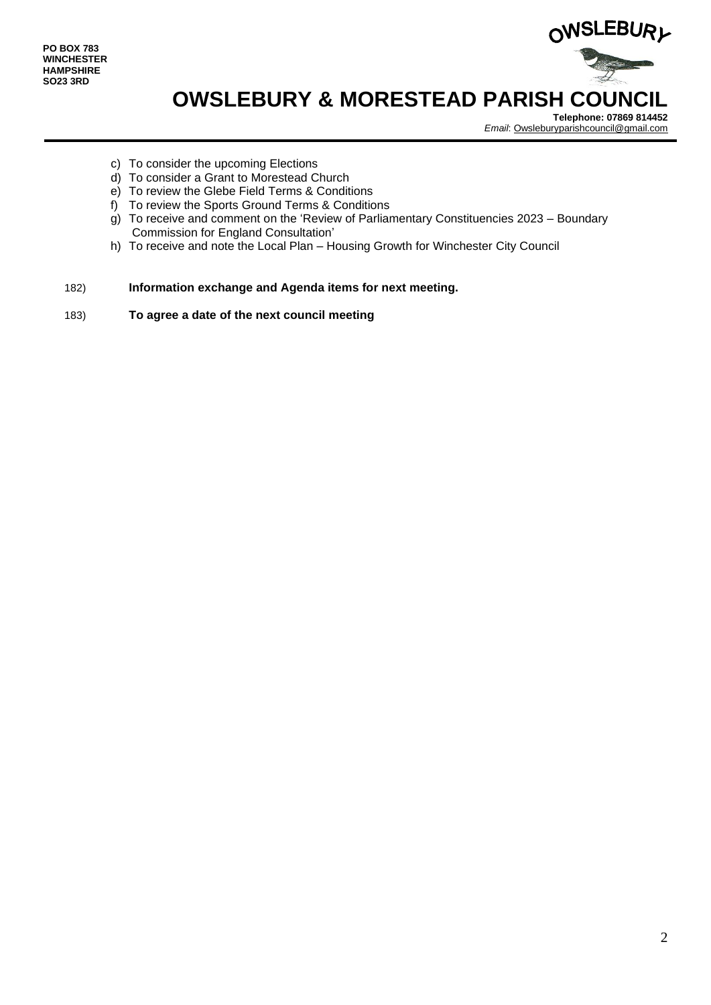

# **OWSLEBURY & MORESTEAD PARISH COUNCIL**

**Telephone: 07869 814452** *Email*[: Owsleburyparishcouncil@gmail.com](mailto:Owsleburyparishcouncil@gmail.com)

- c) To consider the upcoming Elections
- d) To consider a Grant to Morestead Church
- e) To review the Glebe Field Terms & Conditions
- f) To review the Sports Ground Terms & Conditions
- $g$ ) To receive and comment on the 'Review of Parliamentary Constituencies 2023 Boundary Commission for England Consultation'
- h) To receive and note the Local Plan Housing Growth for Winchester City Council

## 182) **Information exchange and Agenda items for next meeting.**

183) **To agree a date of the next council meeting**